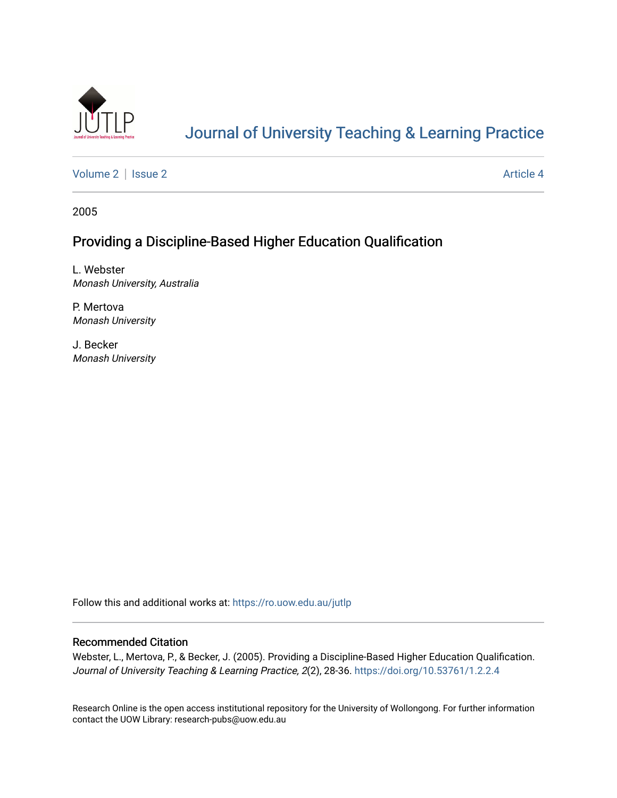

### [Journal of University Teaching & Learning Practice](https://ro.uow.edu.au/jutlp)

[Volume 2](https://ro.uow.edu.au/jutlp/vol2) | [Issue 2](https://ro.uow.edu.au/jutlp/vol2/iss2) Article 4

2005

#### Providing a Discipline-Based Higher Education Qualification

L. Webster Monash University, Australia

P. Mertova Monash University

J. Becker Monash University

Follow this and additional works at: [https://ro.uow.edu.au/jutlp](https://ro.uow.edu.au/jutlp?utm_source=ro.uow.edu.au%2Fjutlp%2Fvol2%2Fiss2%2F4&utm_medium=PDF&utm_campaign=PDFCoverPages) 

#### Recommended Citation

Webster, L., Mertova, P., & Becker, J. (2005). Providing a Discipline-Based Higher Education Qualification. Journal of University Teaching & Learning Practice, 2(2), 28-36. <https://doi.org/10.53761/1.2.2.4>

Research Online is the open access institutional repository for the University of Wollongong. For further information contact the UOW Library: research-pubs@uow.edu.au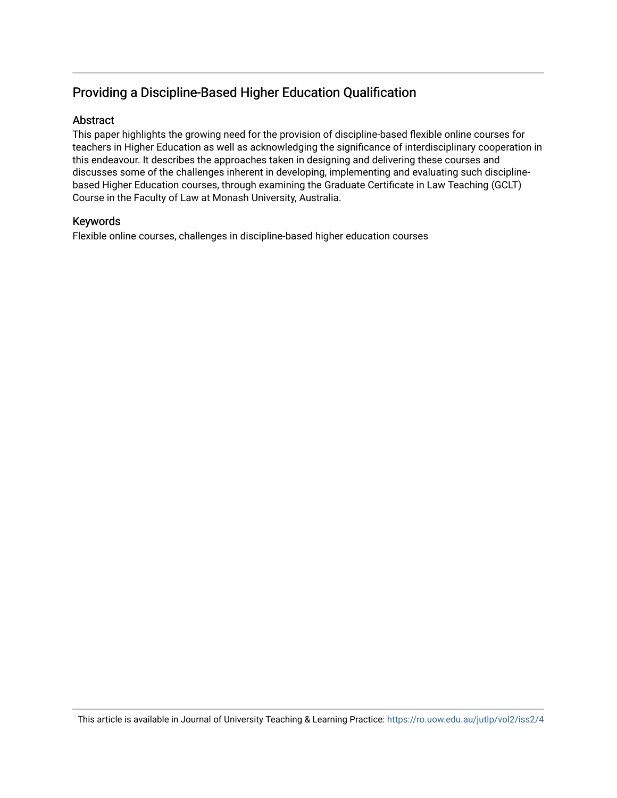#### Providing a Discipline-Based Higher Education Qualification

#### Abstract

This paper highlights the growing need for the provision of discipline-based flexible online courses for teachers in Higher Education as well as acknowledging the significance of interdisciplinary cooperation in this endeavour. It describes the approaches taken in designing and delivering these courses and discusses some of the challenges inherent in developing, implementing and evaluating such disciplinebased Higher Education courses, through examining the Graduate Certificate in Law Teaching (GCLT) Course in the Faculty of Law at Monash University, Australia.

#### Keywords

Flexible online courses, challenges in discipline-based higher education courses

This article is available in Journal of University Teaching & Learning Practice:<https://ro.uow.edu.au/jutlp/vol2/iss2/4>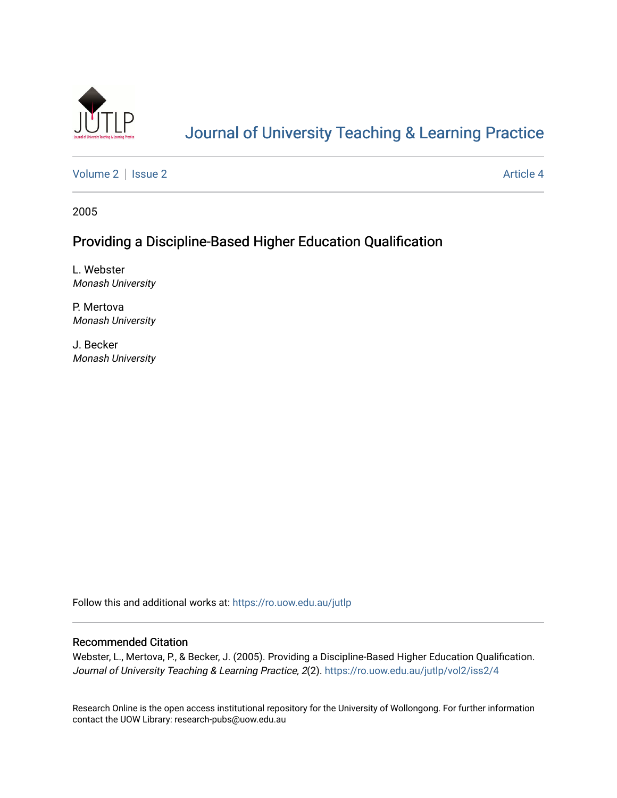

### [Journal of University Teaching & Learning Practice](https://ro.uow.edu.au/jutlp)

[Volume 2](https://ro.uow.edu.au/jutlp/vol2) | [Issue 2](https://ro.uow.edu.au/jutlp/vol2/iss2) Article 4

2005

#### Providing a Discipline-Based Higher Education Qualification

L. Webster Monash University

P. Mertova Monash University

J. Becker Monash University

Follow this and additional works at: [https://ro.uow.edu.au/jutlp](https://ro.uow.edu.au/jutlp?utm_source=ro.uow.edu.au%2Fjutlp%2Fvol2%2Fiss2%2F4&utm_medium=PDF&utm_campaign=PDFCoverPages) 

#### Recommended Citation

Webster, L., Mertova, P., & Becker, J. (2005). Providing a Discipline-Based Higher Education Qualification. Journal of University Teaching & Learning Practice, 2(2). [https://ro.uow.edu.au/jutlp/vol2/iss2/4](https://ro.uow.edu.au/jutlp/vol2/iss2/4?utm_source=ro.uow.edu.au%2Fjutlp%2Fvol2%2Fiss2%2F4&utm_medium=PDF&utm_campaign=PDFCoverPages)

Research Online is the open access institutional repository for the University of Wollongong. For further information contact the UOW Library: research-pubs@uow.edu.au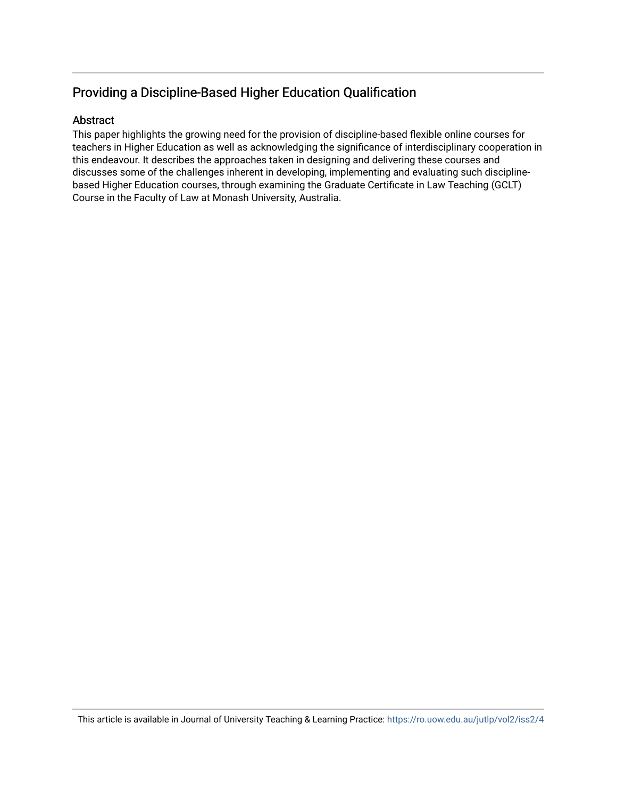#### Providing a Discipline-Based Higher Education Qualification

#### Abstract

This paper highlights the growing need for the provision of discipline-based flexible online courses for teachers in Higher Education as well as acknowledging the significance of interdisciplinary cooperation in this endeavour. It describes the approaches taken in designing and delivering these courses and discusses some of the challenges inherent in developing, implementing and evaluating such disciplinebased Higher Education courses, through examining the Graduate Certificate in Law Teaching (GCLT) Course in the Faculty of Law at Monash University, Australia.

This article is available in Journal of University Teaching & Learning Practice:<https://ro.uow.edu.au/jutlp/vol2/iss2/4>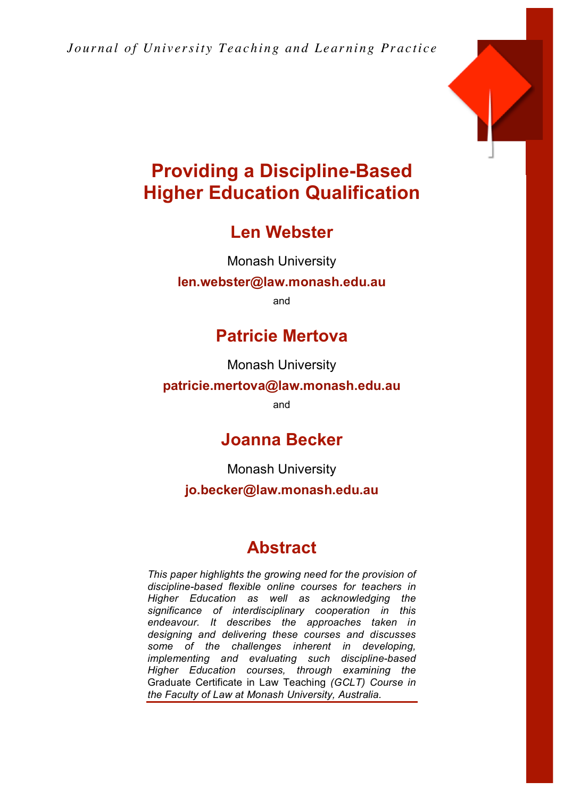*Jour nal of Univ e rsit y Teaching and Lear ning Pr ac ti ce*



## **Providing a Discipline-Based Higher Education Qualification**

## **Len Webster**

Monash University

#### **len.webster@law.monash.edu.au**

and

## **Patricie Mertova**

Monash University

### **patricie.mertova@law.monash.edu.au**

and

## **Joanna Becker**

Monash University

**jo.becker@law.monash.edu.au**

# **Abstract**

*This paper highlights the growing need for the provision of discipline-based flexible online courses for teachers in Higher Education as well as acknowledging the significance of interdisciplinary cooperation in this endeavour. It describes the approaches taken in designing and delivering these courses and discusses some of the challenges inherent in developing, implementing and evaluating such discipline-based Higher Education courses, through examining the* Graduate Certificate in Law Teaching *(GCLT) Course in the Faculty of Law at Monash University, Australia.*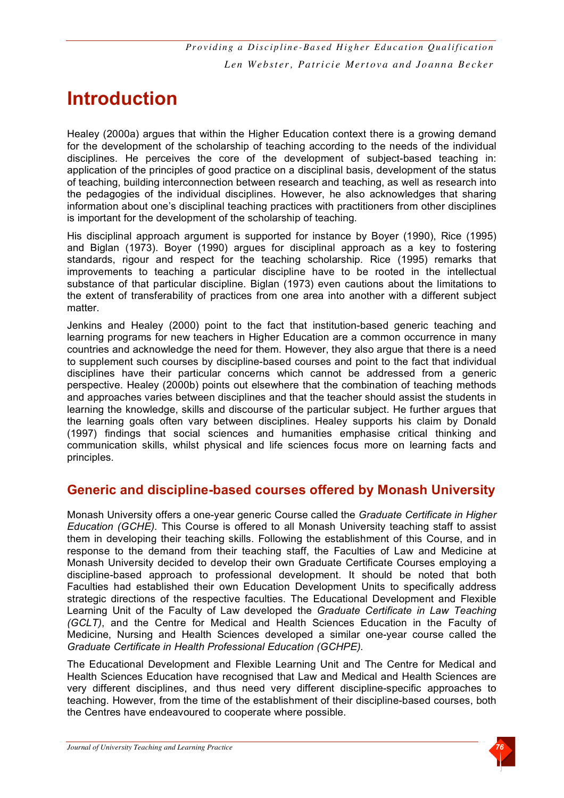# **Introduction**

Healey (2000a) argues that within the Higher Education context there is a growing demand for the development of the scholarship of teaching according to the needs of the individual disciplines. He perceives the core of the development of subject-based teaching in: application of the principles of good practice on a disciplinal basis, development of the status of teaching, building interconnection between research and teaching, as well as research into the pedagogies of the individual disciplines. However, he also acknowledges that sharing information about one's disciplinal teaching practices with practitioners from other disciplines is important for the development of the scholarship of teaching.

His disciplinal approach argument is supported for instance by Boyer (1990), Rice (1995) and Biglan (1973). Boyer (1990) argues for disciplinal approach as a key to fostering standards, rigour and respect for the teaching scholarship. Rice (1995) remarks that improvements to teaching a particular discipline have to be rooted in the intellectual substance of that particular discipline. Biglan (1973) even cautions about the limitations to the extent of transferability of practices from one area into another with a different subject matter.

Jenkins and Healey (2000) point to the fact that institution-based generic teaching and learning programs for new teachers in Higher Education are a common occurrence in many countries and acknowledge the need for them. However, they also argue that there is a need to supplement such courses by discipline-based courses and point to the fact that individual disciplines have their particular concerns which cannot be addressed from a generic perspective. Healey (2000b) points out elsewhere that the combination of teaching methods and approaches varies between disciplines and that the teacher should assist the students in learning the knowledge, skills and discourse of the particular subject. He further argues that the learning goals often vary between disciplines. Healey supports his claim by Donald (1997) findings that social sciences and humanities emphasise critical thinking and communication skills, whilst physical and life sciences focus more on learning facts and principles.

### **Generic and discipline-based courses offered by Monash University**

Monash University offers a one-year generic Course called the *Graduate Certificate in Higher Education (GCHE).* This Course is offered to all Monash University teaching staff to assist them in developing their teaching skills. Following the establishment of this Course, and in response to the demand from their teaching staff, the Faculties of Law and Medicine at Monash University decided to develop their own Graduate Certificate Courses employing a discipline-based approach to professional development. It should be noted that both Faculties had established their own Education Development Units to specifically address strategic directions of the respective faculties. The Educational Development and Flexible Learning Unit of the Faculty of Law developed the *Graduate Certificate in Law Teaching (GCLT)*, and the Centre for Medical and Health Sciences Education in the Faculty of Medicine, Nursing and Health Sciences developed a similar one-year course called the *Graduate Certificate in Health Professional Education (GCHPE).*

The Educational Development and Flexible Learning Unit and The Centre for Medical and Health Sciences Education have recognised that Law and Medical and Health Sciences are very different disciplines, and thus need very different discipline-specific approaches to teaching. However, from the time of the establishment of their discipline-based courses, both the Centres have endeavoured to cooperate where possible.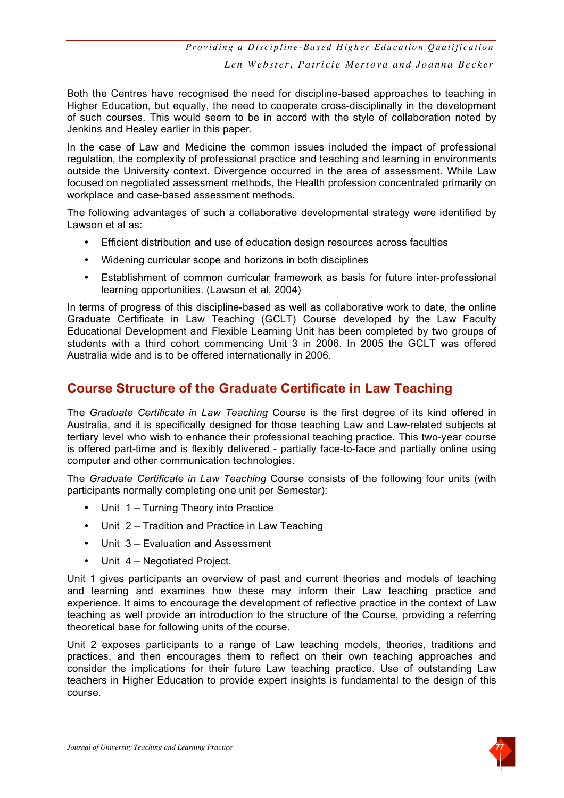Both the Centres have recognised the need for discipline-based approaches to teaching in Higher Education, but equally, the need to cooperate cross-disciplinally in the development of such courses. This would seem to be in accord with the style of collaboration noted by Jenkins and Healey earlier in this paper.

In the case of Law and Medicine the common issues included the impact of professional regulation, the complexity of professional practice and teaching and learning in environments outside the University context. Divergence occurred in the area of assessment. While Law focused on negotiated assessment methods, the Health profession concentrated primarily on workplace and case-based assessment methods.

The following advantages of such a collaborative developmental strategy were identified by Lawson et al as:

- Efficient distribution and use of education design resources across faculties
- Widening curricular scope and horizons in both disciplines
- Establishment of common curricular framework as basis for future inter-professional learning opportunities. (Lawson et al, 2004)

In terms of progress of this discipline-based as well as collaborative work to date, the online Graduate Certificate in Law Teaching (GCLT) Course developed by the Law Faculty Educational Development and Flexible Learning Unit has been completed by two groups of students with a third cohort commencing Unit 3 in 2006. In 2005 the GCLT was offered Australia wide and is to be offered internationally in 2006.

### **Course Structure of the Graduate Certificate in Law Teaching**

The *Graduate Certificate in Law Teaching* Course is the first degree of its kind offered in Australia, and it is specifically designed for those teaching Law and Law-related subjects at tertiary level who wish to enhance their professional teaching practice. This two-year course is offered part-time and is flexibly delivered - partially face-to-face and partially online using computer and other communication technologies.

The *Graduate Certificate in Law Teaching* Course consists of the following four units (with participants normally completing one unit per Semester):

- Unit 1 Turning Theory into Practice
- Unit 2 Tradition and Practice in Law Teaching
- Unit 3 Evaluation and Assessment
- Unit 4 Negotiated Project.

Unit 1 gives participants an overview of past and current theories and models of teaching and learning and examines how these may inform their Law teaching practice and experience. It aims to encourage the development of reflective practice in the context of Law teaching as well provide an introduction to the structure of the Course, providing a referring theoretical base for following units of the course.

Unit 2 exposes participants to a range of Law teaching models, theories, traditions and practices, and then encourages them to reflect on their own teaching approaches and consider the implications for their future Law teaching practice. Use of outstanding Law teachers in Higher Education to provide expert insights is fundamental to the design of this course.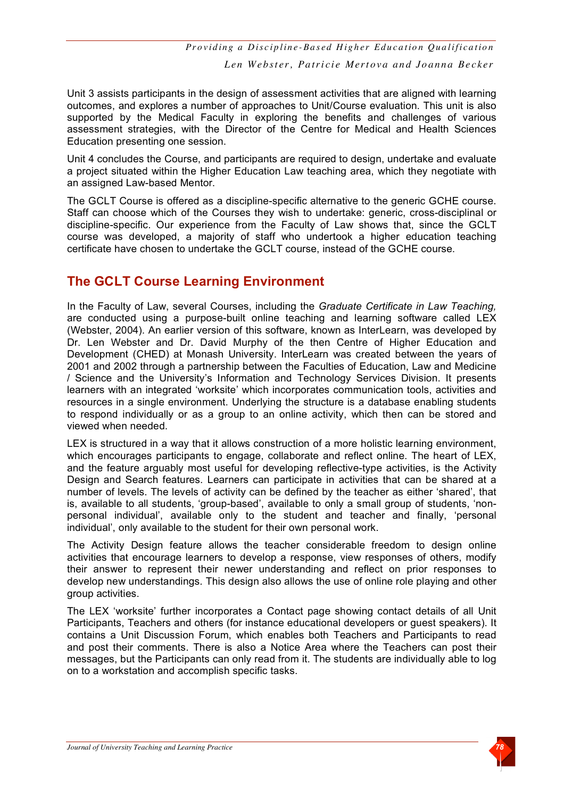Len Webster, Patricie Mertova and Joanna Becker

Unit 3 assists participants in the design of assessment activities that are aligned with learning outcomes, and explores a number of approaches to Unit/Course evaluation. This unit is also supported by the Medical Faculty in exploring the benefits and challenges of various assessment strategies, with the Director of the Centre for Medical and Health Sciences Education presenting one session.

Unit 4 concludes the Course, and participants are required to design, undertake and evaluate a project situated within the Higher Education Law teaching area, which they negotiate with an assigned Law-based Mentor.

The GCLT Course is offered as a discipline-specific alternative to the generic GCHE course. Staff can choose which of the Courses they wish to undertake: generic, cross-disciplinal or discipline-specific. Our experience from the Faculty of Law shows that, since the GCLT course was developed, a majority of staff who undertook a higher education teaching certificate have chosen to undertake the GCLT course, instead of the GCHE course.

#### **The GCLT Course Learning Environment**

In the Faculty of Law, several Courses, including the *Graduate Certificate in Law Teaching,* are conducted using a purpose-built online teaching and learning software called LEX (Webster, 2004). An earlier version of this software, known as InterLearn, was developed by Dr. Len Webster and Dr. David Murphy of the then Centre of Higher Education and Development (CHED) at Monash University. InterLearn was created between the years of 2001 and 2002 through a partnership between the Faculties of Education, Law and Medicine / Science and the University's Information and Technology Services Division. It presents learners with an integrated 'worksite' which incorporates communication tools, activities and resources in a single environment. Underlying the structure is a database enabling students to respond individually or as a group to an online activity, which then can be stored and viewed when needed.

LEX is structured in a way that it allows construction of a more holistic learning environment, which encourages participants to engage, collaborate and reflect online. The heart of LEX, and the feature arguably most useful for developing reflective-type activities, is the Activity Design and Search features. Learners can participate in activities that can be shared at a number of levels. The levels of activity can be defined by the teacher as either 'shared', that is, available to all students, 'group-based', available to only a small group of students, 'nonpersonal individual', available only to the student and teacher and finally, 'personal individual', only available to the student for their own personal work.

The Activity Design feature allows the teacher considerable freedom to design online activities that encourage learners to develop a response, view responses of others, modify their answer to represent their newer understanding and reflect on prior responses to develop new understandings. This design also allows the use of online role playing and other group activities.

The LEX 'worksite' further incorporates a Contact page showing contact details of all Unit Participants, Teachers and others (for instance educational developers or guest speakers). It contains a Unit Discussion Forum, which enables both Teachers and Participants to read and post their comments. There is also a Notice Area where the Teachers can post their messages, but the Participants can only read from it. The students are individually able to log on to a workstation and accomplish specific tasks.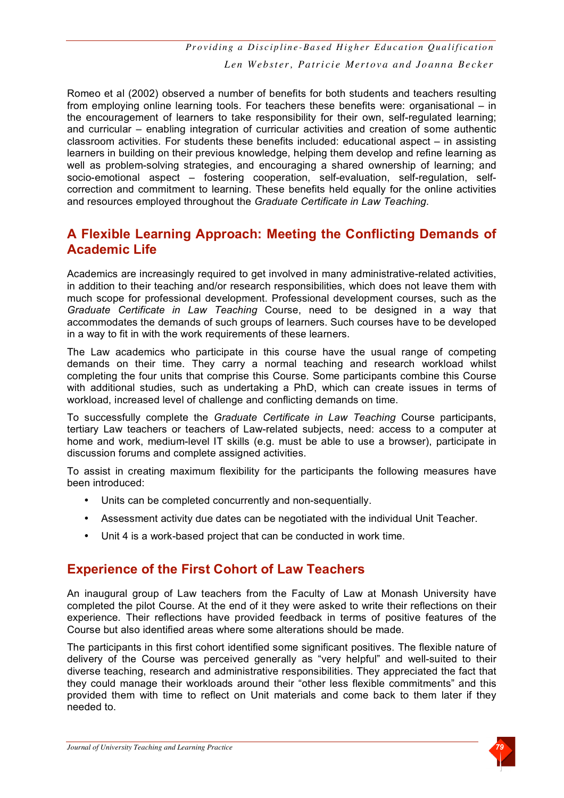Romeo et al (2002) observed a number of benefits for both students and teachers resulting from employing online learning tools. For teachers these benefits were: organisational – in the encouragement of learners to take responsibility for their own, self-regulated learning; and curricular – enabling integration of curricular activities and creation of some authentic classroom activities. For students these benefits included: educational aspect – in assisting learners in building on their previous knowledge, helping them develop and refine learning as well as problem-solving strategies, and encouraging a shared ownership of learning; and socio-emotional aspect – fostering cooperation, self-evaluation, self-regulation, selfcorrection and commitment to learning. These benefits held equally for the online activities and resources employed throughout the *Graduate Certificate in Law Teaching*.

#### **A Flexible Learning Approach: Meeting the Conflicting Demands of Academic Life**

Academics are increasingly required to get involved in many administrative-related activities, in addition to their teaching and/or research responsibilities, which does not leave them with much scope for professional development. Professional development courses, such as the *Graduate Certificate in Law Teaching* Course, need to be designed in a way that accommodates the demands of such groups of learners. Such courses have to be developed in a way to fit in with the work requirements of these learners.

The Law academics who participate in this course have the usual range of competing demands on their time. They carry a normal teaching and research workload whilst completing the four units that comprise this Course. Some participants combine this Course with additional studies, such as undertaking a PhD, which can create issues in terms of workload, increased level of challenge and conflicting demands on time.

To successfully complete the *Graduate Certificate in Law Teaching* Course participants, tertiary Law teachers or teachers of Law-related subjects, need: access to a computer at home and work, medium-level IT skills (e.g. must be able to use a browser), participate in discussion forums and complete assigned activities.

To assist in creating maximum flexibility for the participants the following measures have been introduced:

- Units can be completed concurrently and non-sequentially.
- Assessment activity due dates can be negotiated with the individual Unit Teacher.
- Unit 4 is a work-based project that can be conducted in work time.

#### **Experience of the First Cohort of Law Teachers**

An inaugural group of Law teachers from the Faculty of Law at Monash University have completed the pilot Course. At the end of it they were asked to write their reflections on their experience. Their reflections have provided feedback in terms of positive features of the Course but also identified areas where some alterations should be made.

The participants in this first cohort identified some significant positives. The flexible nature of delivery of the Course was perceived generally as "very helpful" and well-suited to their diverse teaching, research and administrative responsibilities. They appreciated the fact that they could manage their workloads around their "other less flexible commitments" and this provided them with time to reflect on Unit materials and come back to them later if they needed to.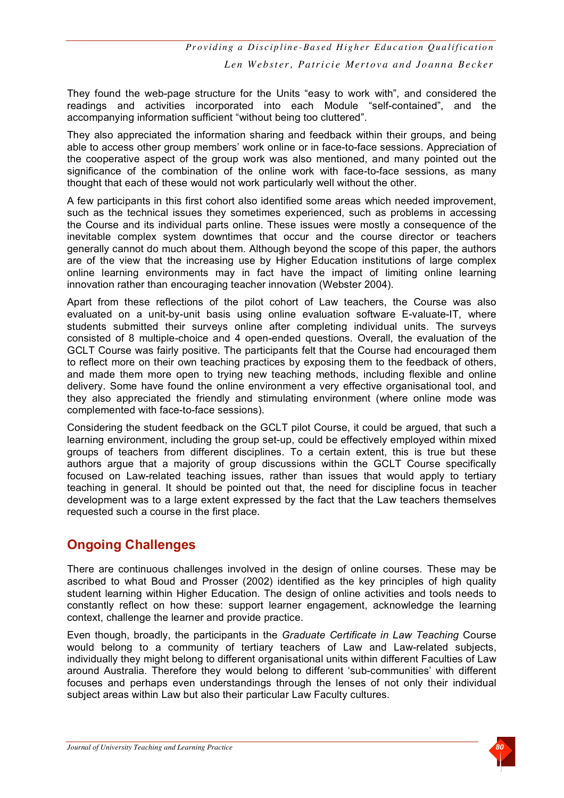They found the web-page structure for the Units "easy to work with", and considered the readings and activities incorporated into each Module "self-contained", and the accompanying information sufficient "without being too cluttered".

They also appreciated the information sharing and feedback within their groups, and being able to access other group members' work online or in face-to-face sessions. Appreciation of the cooperative aspect of the group work was also mentioned, and many pointed out the significance of the combination of the online work with face-to-face sessions, as many thought that each of these would not work particularly well without the other.

A few participants in this first cohort also identified some areas which needed improvement, such as the technical issues they sometimes experienced, such as problems in accessing the Course and its individual parts online. These issues were mostly a consequence of the inevitable complex system downtimes that occur and the course director or teachers generally cannot do much about them. Although beyond the scope of this paper, the authors are of the view that the increasing use by Higher Education institutions of large complex online learning environments may in fact have the impact of limiting online learning innovation rather than encouraging teacher innovation (Webster 2004).

Apart from these reflections of the pilot cohort of Law teachers, the Course was also evaluated on a unit-by-unit basis using online evaluation software E-valuate-IT, where students submitted their surveys online after completing individual units. The surveys consisted of 8 multiple-choice and 4 open-ended questions. Overall, the evaluation of the GCLT Course was fairly positive. The participants felt that the Course had encouraged them to reflect more on their own teaching practices by exposing them to the feedback of others, and made them more open to trying new teaching methods, including flexible and online delivery. Some have found the online environment a very effective organisational tool, and they also appreciated the friendly and stimulating environment (where online mode was complemented with face-to-face sessions).

Considering the student feedback on the GCLT pilot Course, it could be argued, that such a learning environment, including the group set-up, could be effectively employed within mixed groups of teachers from different disciplines. To a certain extent, this is true but these authors argue that a majority of group discussions within the GCLT Course specifically focused on Law-related teaching issues, rather than issues that would apply to tertiary teaching in general. It should be pointed out that, the need for discipline focus in teacher development was to a large extent expressed by the fact that the Law teachers themselves requested such a course in the first place.

### **Ongoing Challenges**

There are continuous challenges involved in the design of online courses. These may be ascribed to what Boud and Prosser (2002) identified as the key principles of high quality student learning within Higher Education. The design of online activities and tools needs to constantly reflect on how these: support learner engagement, acknowledge the learning context, challenge the learner and provide practice.

Even though, broadly, the participants in the *Graduate Certificate in Law Teaching* Course would belong to a community of tertiary teachers of Law and Law-related subjects, individually they might belong to different organisational units within different Faculties of Law around Australia. Therefore they would belong to different 'sub-communities' with different focuses and perhaps even understandings through the lenses of not only their individual subject areas within Law but also their particular Law Faculty cultures.

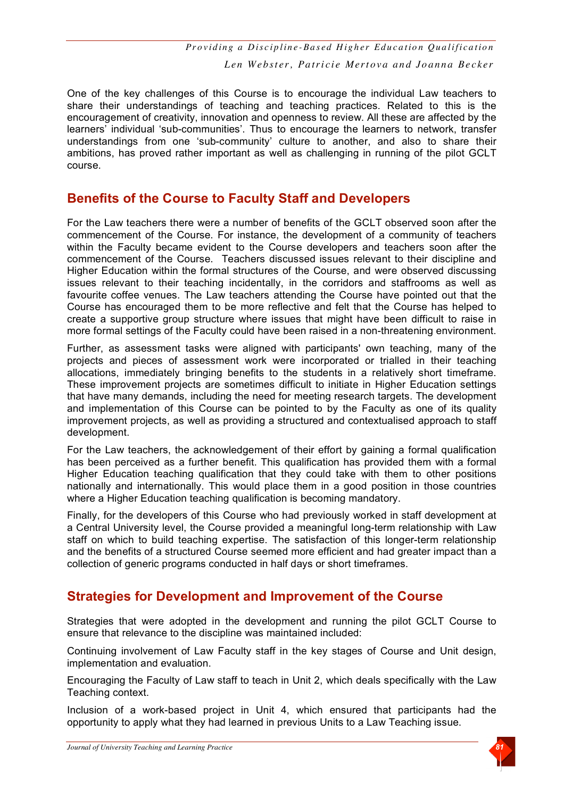One of the key challenges of this Course is to encourage the individual Law teachers to share their understandings of teaching and teaching practices. Related to this is the encouragement of creativity, innovation and openness to review. All these are affected by the learners' individual 'sub-communities'. Thus to encourage the learners to network, transfer understandings from one 'sub-community' culture to another, and also to share their ambitions, has proved rather important as well as challenging in running of the pilot GCLT course.

#### **Benefits of the Course to Faculty Staff and Developers**

For the Law teachers there were a number of benefits of the GCLT observed soon after the commencement of the Course. For instance, the development of a community of teachers within the Faculty became evident to the Course developers and teachers soon after the commencement of the Course. Teachers discussed issues relevant to their discipline and Higher Education within the formal structures of the Course, and were observed discussing issues relevant to their teaching incidentally, in the corridors and staffrooms as well as favourite coffee venues. The Law teachers attending the Course have pointed out that the Course has encouraged them to be more reflective and felt that the Course has helped to create a supportive group structure where issues that might have been difficult to raise in more formal settings of the Faculty could have been raised in a non-threatening environment.

Further, as assessment tasks were aligned with participants' own teaching, many of the projects and pieces of assessment work were incorporated or trialled in their teaching allocations, immediately bringing benefits to the students in a relatively short timeframe. These improvement projects are sometimes difficult to initiate in Higher Education settings that have many demands, including the need for meeting research targets. The development and implementation of this Course can be pointed to by the Faculty as one of its quality improvement projects, as well as providing a structured and contextualised approach to staff development.

For the Law teachers, the acknowledgement of their effort by gaining a formal qualification has been perceived as a further benefit. This qualification has provided them with a formal Higher Education teaching qualification that they could take with them to other positions nationally and internationally. This would place them in a good position in those countries where a Higher Education teaching qualification is becoming mandatory.

Finally, for the developers of this Course who had previously worked in staff development at a Central University level, the Course provided a meaningful long-term relationship with Law staff on which to build teaching expertise. The satisfaction of this longer-term relationship and the benefits of a structured Course seemed more efficient and had greater impact than a collection of generic programs conducted in half days or short timeframes.

### **Strategies for Development and Improvement of the Course**

Strategies that were adopted in the development and running the pilot GCLT Course to ensure that relevance to the discipline was maintained included:

Continuing involvement of Law Faculty staff in the key stages of Course and Unit design, implementation and evaluation.

Encouraging the Faculty of Law staff to teach in Unit 2, which deals specifically with the Law Teaching context.

Inclusion of a work-based project in Unit 4, which ensured that participants had the opportunity to apply what they had learned in previous Units to a Law Teaching issue.

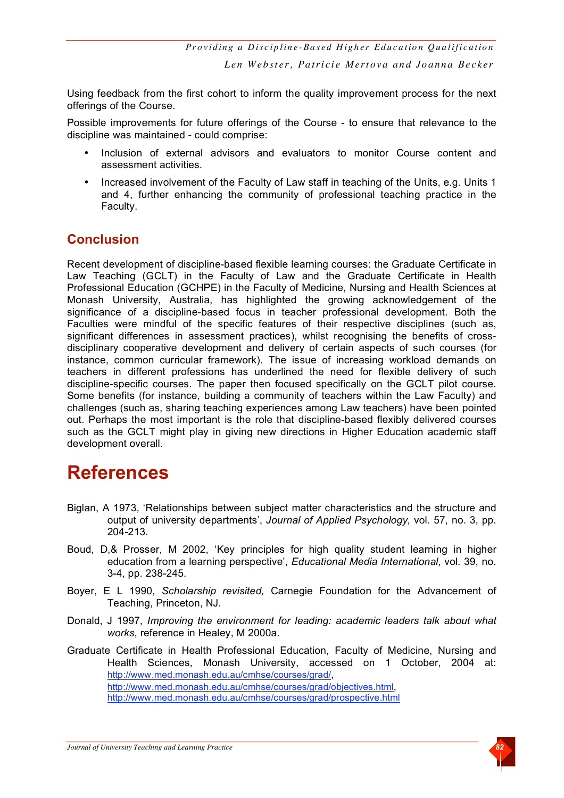Using feedback from the first cohort to inform the quality improvement process for the next offerings of the Course.

Possible improvements for future offerings of the Course - to ensure that relevance to the discipline was maintained - could comprise:

- Inclusion of external advisors and evaluators to monitor Course content and assessment activities.
- Increased involvement of the Faculty of Law staff in teaching of the Units, e.g. Units 1 and 4, further enhancing the community of professional teaching practice in the Faculty.

### **Conclusion**

Recent development of discipline-based flexible learning courses: the Graduate Certificate in Law Teaching (GCLT) in the Faculty of Law and the Graduate Certificate in Health Professional Education (GCHPE) in the Faculty of Medicine, Nursing and Health Sciences at Monash University, Australia, has highlighted the growing acknowledgement of the significance of a discipline-based focus in teacher professional development. Both the Faculties were mindful of the specific features of their respective disciplines (such as, significant differences in assessment practices), whilst recognising the benefits of crossdisciplinary cooperative development and delivery of certain aspects of such courses (for instance, common curricular framework). The issue of increasing workload demands on teachers in different professions has underlined the need for flexible delivery of such discipline-specific courses. The paper then focused specifically on the GCLT pilot course. Some benefits (for instance, building a community of teachers within the Law Faculty) and challenges (such as, sharing teaching experiences among Law teachers) have been pointed out. Perhaps the most important is the role that discipline-based flexibly delivered courses such as the GCLT might play in giving new directions in Higher Education academic staff development overall.

## **References**

- Biglan, A 1973, 'Relationships between subject matter characteristics and the structure and output of university departments', *Journal of Applied Psychology,* vol. 57, no. 3, pp. 204-213.
- Boud, D,& Prosser, M 2002, 'Key principles for high quality student learning in higher education from a learning perspective', *Educational Media International*, vol. 39, no. 3-4, pp. 238-245.
- Boyer, E L 1990, *Scholarship revisited,* Carnegie Foundation for the Advancement of Teaching, Princeton, NJ.
- Donald, J 1997, *Improving the environment for leading: academic leaders talk about what works*, reference in Healey, M 2000a.
- Graduate Certificate in Health Professional Education, Faculty of Medicine, Nursing and Health Sciences, Monash University, accessed on 1 October, 2004 at: http://www.med.monash.edu.au/cmhse/courses/grad/, http://www.med.monash.edu.au/cmhse/courses/grad/objectives.html,

http://www.med.monash.edu.au/cmhse/courses/grad/prospective.html